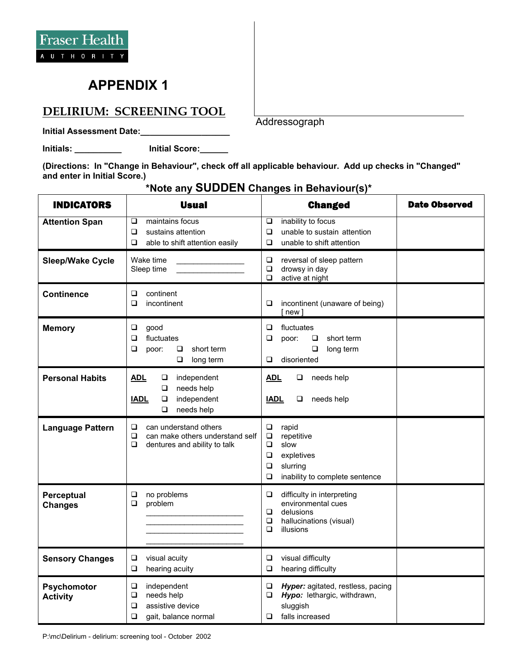## **APPENDIX 1**

## **DELIRIUM: SCREENING TOOL**

**Initial Assessment Date:\_\_\_\_\_\_\_\_\_\_\_\_\_\_\_\_\_\_\_** 

**Initials: \_\_\_\_\_\_\_\_\_\_ Initial Score:\_\_\_\_\_\_**

**(Directions: In "Change in Behaviour", check off all applicable behaviour. Add up checks in "Changed" and enter in Initial Score.)**

| <b>INDICATORS</b>              | <b>Usual</b>                                                                                                 | <b>Changed</b>                                                                                                                                      | <b>Date Observed</b> |
|--------------------------------|--------------------------------------------------------------------------------------------------------------|-----------------------------------------------------------------------------------------------------------------------------------------------------|----------------------|
| <b>Attention Span</b>          | maintains focus<br>❏<br>❏<br>sustains attention<br>able to shift attention easily<br>❏                       | inability to focus<br>$\Box$<br>unable to sustain attention<br>□<br>unable to shift attention<br>□                                                  |                      |
| <b>Sleep/Wake Cycle</b>        | Wake time<br>Sleep time                                                                                      | ❏<br>reversal of sleep pattern<br>$\Box$<br>drowsy in day<br>active at night<br>$\Box$                                                              |                      |
| <b>Continence</b>              | continent<br>❏<br>□<br>incontinent                                                                           | incontinent (unaware of being)<br>❏<br>$[$ new $]$                                                                                                  |                      |
| <b>Memory</b>                  | ❏<br>good<br>fluctuates<br>□<br>short term<br>□<br>$\Box$<br>poor:<br>$\Box$<br>long term                    | $\Box$<br>fluctuates<br>□<br>$\Box$<br>short term<br>poor:<br>$\Box$<br>long term<br>disoriented<br>❏                                               |                      |
| <b>Personal Habits</b>         | <b>ADL</b><br>independent<br>❏<br>needs help<br>❏<br>independent<br><b>IADL</b><br>❏<br>$\Box$<br>needs help | <b>ADL</b><br>needs help<br>❏<br>needs help<br><b>IADL</b><br>❏                                                                                     |                      |
| <b>Language Pattern</b>        | can understand others<br>❏<br>□<br>can make others understand self<br>□<br>dentures and ability to talk      | rapid<br>$\Box$<br>$\Box$<br>repetitive<br>slow<br>$\Box$<br>expletives<br>$\Box$<br>$\Box$<br>slurring<br>$\Box$<br>inability to complete sentence |                      |
| Perceptual<br><b>Changes</b>   | $\Box$<br>no problems<br>problem<br>$\Box$                                                                   | difficulty in interpreting<br>❏<br>environmental cues<br>delusions<br>$\Box$<br>$\Box$<br>hallucinations (visual)<br>$\Box$<br>illusions            |                      |
| <b>Sensory Changes</b>         | ❏<br>visual acuity<br>hearing acuity<br>□                                                                    | visual difficulty<br>□<br>hearing difficulty<br>$\Box$                                                                                              |                      |
| Psychomotor<br><b>Activity</b> | ❏<br>independent<br>$\Box$<br>needs help<br>assistive device<br>□<br>❏<br>gait, balance normal               | $\Box$<br>Hyper: agitated, restless, pacing<br>$\Box$<br>Hypo: lethargic, withdrawn,<br>sluggish<br>falls increased<br>□                            |                      |

## **\*Note any SUDDEN Changes in Behaviour(s)\***

Addressograph